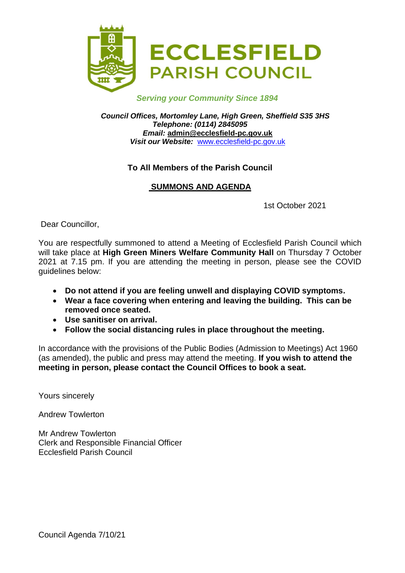

#### *Serving your Community Since 1894*

*Council Offices, Mortomley Lane, High Green, Sheffield S35 3HS Telephone: (0114) 2845095 Email:* **admin@ecclesfield-pc.gov.uk** *Visit our Website:* [www.ecclesfield-pc.gov.uk](http://www.ecclesfield-pc.gov.uk/)

#### **To All Members of the Parish Council**

#### **SUMMONS AND AGENDA**

1st October 2021

Dear Councillor,

You are respectfully summoned to attend a Meeting of Ecclesfield Parish Council which will take place at **High Green Miners Welfare Community Hall** on Thursday 7 October 2021 at 7.15 pm. If you are attending the meeting in person, please see the COVID guidelines below:

- **Do not attend if you are feeling unwell and displaying COVID symptoms.**
- **Wear a face covering when entering and leaving the building. This can be removed once seated.**
- **Use sanitiser on arrival.**
- **Follow the social distancing rules in place throughout the meeting.**

In accordance with the provisions of the Public Bodies (Admission to Meetings) Act 1960 (as amended), the public and press may attend the meeting. **If you wish to attend the meeting in person, please contact the Council Offices to book a seat.** 

Yours sincerely

Andrew Towlerton

Mr Andrew Towlerton Clerk and Responsible Financial Officer Ecclesfield Parish Council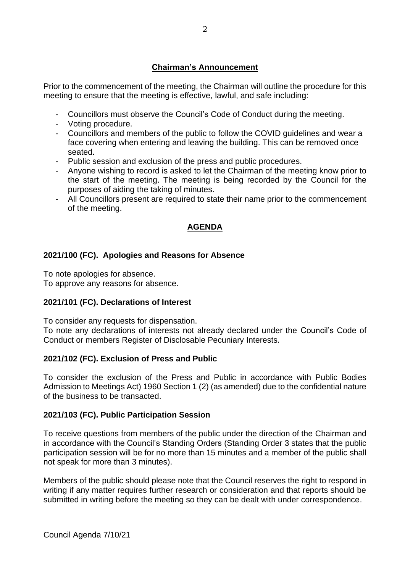# **Chairman's Announcement**

Prior to the commencement of the meeting, the Chairman will outline the procedure for this meeting to ensure that the meeting is effective, lawful, and safe including:

- Councillors must observe the Council's Code of Conduct during the meeting.
- Voting procedure.
- Councillors and members of the public to follow the COVID guidelines and wear a face covering when entering and leaving the building. This can be removed once seated.
- Public session and exclusion of the press and public procedures.
- Anyone wishing to record is asked to let the Chairman of the meeting know prior to the start of the meeting. The meeting is being recorded by the Council for the purposes of aiding the taking of minutes.
- All Councillors present are required to state their name prior to the commencement of the meeting.

# **AGENDA**

# **2021/100 (FC). Apologies and Reasons for Absence**

To note apologies for absence.

To approve any reasons for absence.

# **2021/101 (FC). Declarations of Interest**

To consider any requests for dispensation.

To note any declarations of interests not already declared under the Council's Code of Conduct or members Register of Disclosable Pecuniary Interests.

# **2021/102 (FC). Exclusion of Press and Public**

To consider the exclusion of the Press and Public in accordance with Public Bodies Admission to Meetings Act) 1960 Section 1 (2) (as amended) due to the confidential nature of the business to be transacted.

# **2021/103 (FC). Public Participation Session**

To receive questions from members of the public under the direction of the Chairman and in accordance with the Council's Standing Orders (Standing Order 3 states that the public participation session will be for no more than 15 minutes and a member of the public shall not speak for more than 3 minutes).

Members of the public should please note that the Council reserves the right to respond in writing if any matter requires further research or consideration and that reports should be submitted in writing before the meeting so they can be dealt with under correspondence.

Council Agenda 7/10/21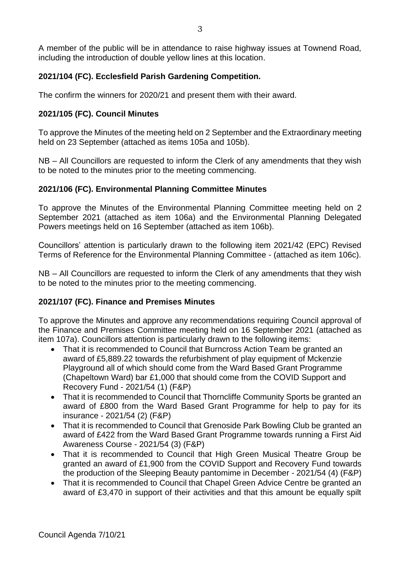A member of the public will be in attendance to raise highway issues at Townend Road, including the introduction of double yellow lines at this location.

# **2021/104 (FC). Ecclesfield Parish Gardening Competition.**

The confirm the winners for 2020/21 and present them with their award.

# **2021/105 (FC). Council Minutes**

To approve the Minutes of the meeting held on 2 September and the Extraordinary meeting held on 23 September (attached as items 105a and 105b).

NB – All Councillors are requested to inform the Clerk of any amendments that they wish to be noted to the minutes prior to the meeting commencing.

# **2021/106 (FC). Environmental Planning Committee Minutes**

To approve the Minutes of the Environmental Planning Committee meeting held on 2 September 2021 (attached as item 106a) and the Environmental Planning Delegated Powers meetings held on 16 September (attached as item 106b).

Councillors' attention is particularly drawn to the following item 2021/42 (EPC) Revised Terms of Reference for the Environmental Planning Committee - (attached as item 106c).

NB – All Councillors are requested to inform the Clerk of any amendments that they wish to be noted to the minutes prior to the meeting commencing.

# **2021/107 (FC). Finance and Premises Minutes**

To approve the Minutes and approve any recommendations requiring Council approval of the Finance and Premises Committee meeting held on 16 September 2021 (attached as item 107a). Councillors attention is particularly drawn to the following items:

- That it is recommended to Council that Burncross Action Team be granted an award of £5,889.22 towards the refurbishment of play equipment of Mckenzie Playground all of which should come from the Ward Based Grant Programme (Chapeltown Ward) bar £1,000 that should come from the COVID Support and Recovery Fund - 2021/54 (1) (F&P)
- That it is recommended to Council that Thorncliffe Community Sports be granted an award of £800 from the Ward Based Grant Programme for help to pay for its insurance - 2021/54 (2) (F&P)
- That it is recommended to Council that Grenoside Park Bowling Club be granted an award of £422 from the Ward Based Grant Programme towards running a First Aid Awareness Course - 2021/54 (3) (F&P)
- That it is recommended to Council that High Green Musical Theatre Group be granted an award of £1,900 from the COVID Support and Recovery Fund towards the production of the Sleeping Beauty pantomime in December - 2021/54 (4) (F&P)
- That it is recommended to Council that Chapel Green Advice Centre be granted an award of £3,470 in support of their activities and that this amount be equally spilt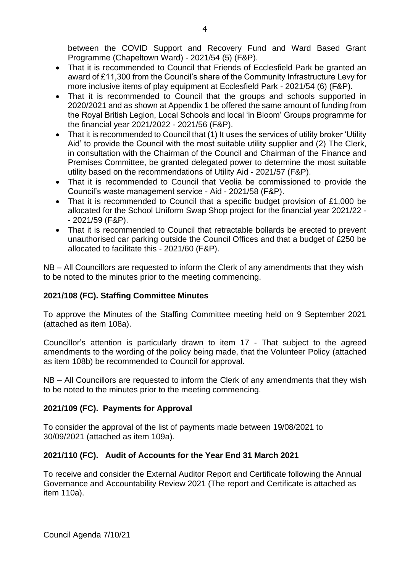between the COVID Support and Recovery Fund and Ward Based Grant Programme (Chapeltown Ward) - 2021/54 (5) (F&P).

- That it is recommended to Council that Friends of Ecclesfield Park be granted an award of £11,300 from the Council's share of the Community Infrastructure Levy for more inclusive items of play equipment at Ecclesfield Park - 2021/54 (6) (F&P).
- That it is recommended to Council that the groups and schools supported in 2020/2021 and as shown at Appendix 1 be offered the same amount of funding from the Royal British Legion, Local Schools and local 'in Bloom' Groups programme for the financial year 2021/2022 - 2021/56 (F&P).
- That it is recommended to Council that (1) It uses the services of utility broker 'Utility Aid' to provide the Council with the most suitable utility supplier and (2) The Clerk, in consultation with the Chairman of the Council and Chairman of the Finance and Premises Committee, be granted delegated power to determine the most suitable utility based on the recommendations of Utility Aid - 2021/57 (F&P).
- That it is recommended to Council that Veolia be commissioned to provide the Council's waste management service - Aid - 2021/58 (F&P).
- That it is recommended to Council that a specific budget provision of £1,000 be allocated for the School Uniform Swap Shop project for the financial year 2021/22 - - 2021/59 (F&P).
- That it is recommended to Council that retractable bollards be erected to prevent unauthorised car parking outside the Council Offices and that a budget of £250 be allocated to facilitate this - 2021/60 (F&P).

NB – All Councillors are requested to inform the Clerk of any amendments that they wish to be noted to the minutes prior to the meeting commencing.

# **2021/108 (FC). Staffing Committee Minutes**

To approve the Minutes of the Staffing Committee meeting held on 9 September 2021 (attached as item 108a).

Councillor's attention is particularly drawn to item 17 - That subject to the agreed amendments to the wording of the policy being made, that the Volunteer Policy (attached as item 108b) be recommended to Council for approval.

NB – All Councillors are requested to inform the Clerk of any amendments that they wish to be noted to the minutes prior to the meeting commencing.

# **2021/109 (FC). Payments for Approval**

To consider the approval of the list of payments made between 19/08/2021 to 30/09/2021 (attached as item 109a).

# **2021/110 (FC). Audit of Accounts for the Year End 31 March 2021**

To receive and consider the External Auditor Report and Certificate following the Annual Governance and Accountability Review 2021 (The report and Certificate is attached as item 110a).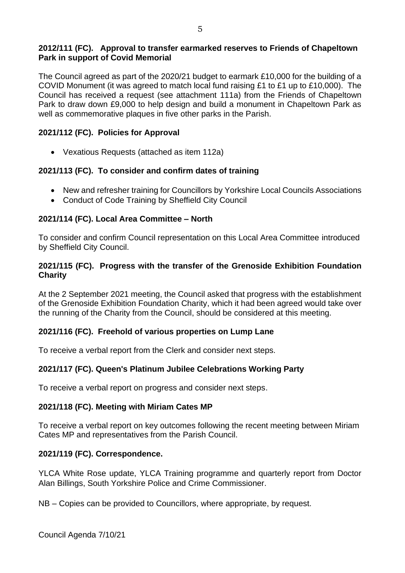#### **2012/111 (FC). Approval to transfer earmarked reserves to Friends of Chapeltown Park in support of Covid Memorial**

The Council agreed as part of the 2020/21 budget to earmark £10,000 for the building of a COVID Monument (it was agreed to match local fund raising £1 to £1 up to £10,000). The Council has received a request (see attachment 111a) from the Friends of Chapeltown Park to draw down £9,000 to help design and build a monument in Chapeltown Park as well as commemorative plaques in five other parks in the Parish.

#### **2021/112 (FC). Policies for Approval**

• Vexatious Requests (attached as item 112a)

#### **2021/113 (FC). To consider and confirm dates of training**

- New and refresher training for Councillors by Yorkshire Local Councils Associations
- Conduct of Code Training by Sheffield City Council

#### **2021/114 (FC). Local Area Committee – North**

To consider and confirm Council representation on this Local Area Committee introduced by Sheffield City Council.

#### **2021/115 (FC). Progress with the transfer of the Grenoside Exhibition Foundation Charity**

At the 2 September 2021 meeting, the Council asked that progress with the establishment of the Grenoside Exhibition Foundation Charity, which it had been agreed would take over the running of the Charity from the Council, should be considered at this meeting.

#### **2021/116 (FC). Freehold of various properties on Lump Lane**

To receive a verbal report from the Clerk and consider next steps.

# **2021/117 (FC). Queen's Platinum Jubilee Celebrations Working Party**

To receive a verbal report on progress and consider next steps.

#### **2021/118 (FC). Meeting with Miriam Cates MP**

To receive a verbal report on key outcomes following the recent meeting between Miriam Cates MP and representatives from the Parish Council.

#### **2021/119 (FC). Correspondence.**

YLCA White Rose update, YLCA Training programme and quarterly report from Doctor Alan Billings, South Yorkshire Police and Crime Commissioner.

NB – Copies can be provided to Councillors, where appropriate, by request.

Council Agenda 7/10/21